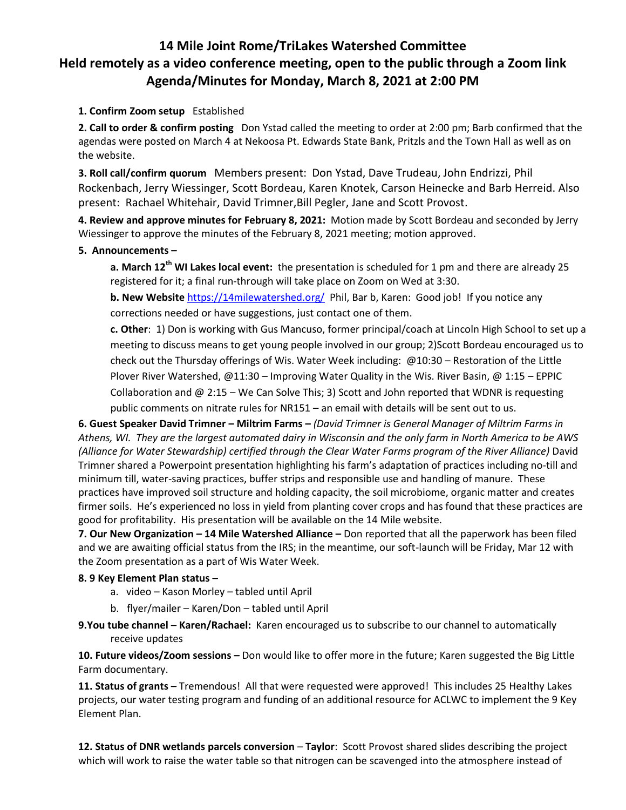## **14 Mile Joint Rome/TriLakes Watershed Committee Held remotely as a video conference meeting, open to the public through a Zoom link Agenda/Minutes for Monday, March 8, 2021 at 2:00 PM**

## **1. Confirm Zoom setup** Established

**2. Call to order & confirm posting** Don Ystad called the meeting to order at 2:00 pm; Barb confirmed that the agendas were posted on March 4 at Nekoosa Pt. Edwards State Bank, Pritzls and the Town Hall as well as on the website.

**3. Roll call/confirm quorum** Members present: Don Ystad, Dave Trudeau, John Endrizzi, Phil Rockenbach, Jerry Wiessinger, Scott Bordeau, Karen Knotek, Carson Heinecke and Barb Herreid. Also present: Rachael Whitehair, David Trimner,Bill Pegler, Jane and Scott Provost.

**4. Review and approve minutes for February 8, 2021:** Motion made by Scott Bordeau and seconded by Jerry Wiessinger to approve the minutes of the February 8, 2021 meeting; motion approved.

## **5. Announcements –**

**a. March 12th WI Lakes local event:** the presentation is scheduled for 1 pm and there are already 25 registered for it; a final run-through will take place on Zoom on Wed at 3:30.

**b.** New Website <https://14milewatershed.org/>Phil, Bar b, Karen: Good job! If you notice any corrections needed or have suggestions, just contact one of them.

**c. Other**: 1) Don is working with Gus Mancuso, former principal/coach at Lincoln High School to set up a meeting to discuss means to get young people involved in our group; 2)Scott Bordeau encouraged us to check out the Thursday offerings of Wis. Water Week including: @10:30 – Restoration of the Little Plover River Watershed, @11:30 – Improving Water Quality in the Wis. River Basin, @ 1:15 – EPPIC Collaboration and  $@ 2:15 - We Can Solve This; 3) Scott and John reported that WDNR is requesting$ public comments on nitrate rules for NR151 – an email with details will be sent out to us.

**6. Guest Speaker David Trimner – Miltrim Farms –** *(David Trimner is General Manager of Miltrim Farms in Athens, WI. They are the largest automated dairy in Wisconsin and the only farm in North America to be AWS (Alliance for Water Stewardship) certified through the Clear Water Farms program of the River Alliance)* David Trimner shared a Powerpoint presentation highlighting his farm's adaptation of practices including no-till and minimum till, water-saving practices, buffer strips and responsible use and handling of manure. These practices have improved soil structure and holding capacity, the soil microbiome, organic matter and creates firmer soils. He's experienced no loss in yield from planting cover crops and has found that these practices are good for profitability. His presentation will be available on the 14 Mile website.

**7. Our New Organization – 14 Mile Watershed Alliance –** Don reported that all the paperwork has been filed and we are awaiting official status from the IRS; in the meantime, our soft-launch will be Friday, Mar 12 with the Zoom presentation as a part of Wis Water Week.

## **8. 9 Key Element Plan status –**

- a. video Kason Morley tabled until April
- b. flyer/mailer Karen/Don tabled until April
- **9.You tube channel – Karen/Rachael:** Karen encouraged us to subscribe to our channel to automatically receive updates

**10. Future videos/Zoom sessions –** Don would like to offer more in the future; Karen suggested the Big Little Farm documentary.

**11. Status of grants –** Tremendous! All that were requested were approved! This includes 25 Healthy Lakes projects, our water testing program and funding of an additional resource for ACLWC to implement the 9 Key Element Plan.

**12. Status of DNR wetlands parcels conversion** – **Taylor**: Scott Provost shared slides describing the project which will work to raise the water table so that nitrogen can be scavenged into the atmosphere instead of